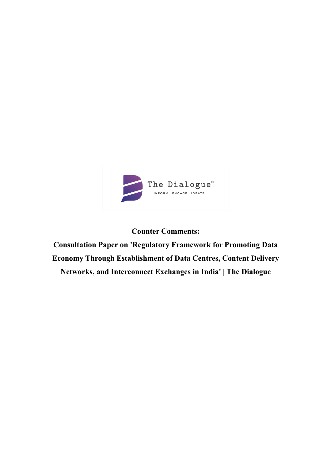

# **Counter Comments:**

**Consultation Paper on 'Regulatory Framework for Promoting Data Economy Through Establishment of Data Centres, Content Delivery Networks, and Interconnect Exchanges in India' | The Dialogue**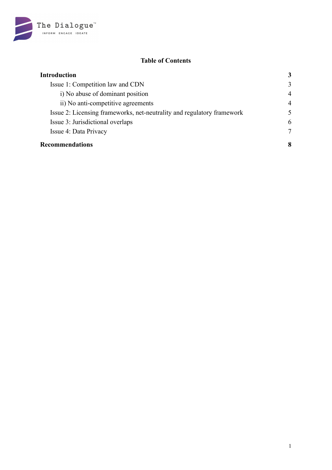

## **Table of Contents**

| <b>Introduction</b>                                                    |                |
|------------------------------------------------------------------------|----------------|
| Issue 1: Competition law and CDN                                       | 3              |
| i) No abuse of dominant position                                       | $\overline{4}$ |
| ii) No anti-competitive agreements                                     | $\overline{4}$ |
| Issue 2: Licensing frameworks, net-neutrality and regulatory framework | 5              |
| Issue 3: Jurisdictional overlaps                                       | 6              |
| Issue 4: Data Privacy                                                  | 7              |
| <b>Recommendations</b>                                                 | 8              |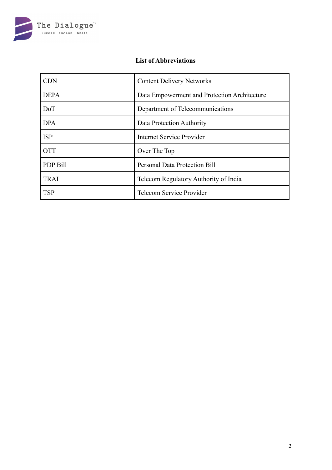

## **List of Abbreviations**

| <b>CDN</b>  | <b>Content Delivery Networks</b>             |
|-------------|----------------------------------------------|
| <b>DEPA</b> | Data Empowerment and Protection Architecture |
| <b>DoT</b>  | Department of Telecommunications             |
| <b>DPA</b>  | Data Protection Authority                    |
| <b>ISP</b>  | Internet Service Provider                    |
| <b>OTT</b>  | Over The Top                                 |
| PDP Bill    | <b>Personal Data Protection Bill</b>         |
| <b>TRAI</b> | Telecom Regulatory Authority of India        |
| <b>TSP</b>  | Telecom Service Provider                     |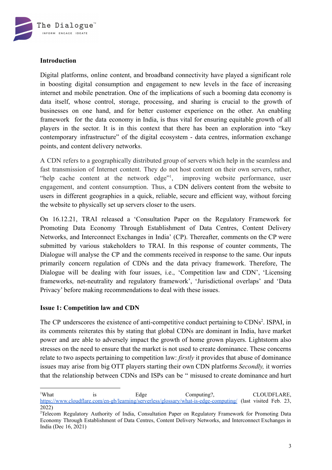

## <span id="page-3-0"></span>**Introduction**

Digital platforms, online content, and broadband connectivity have played a significant role in boosting digital consumption and engagement to new levels in the face of increasing internet and mobile penetration. One of the implications of such a booming data economy is data itself, whose control, storage, processing, and sharing is crucial to the growth of businesses on one hand, and for better customer experience on the other. An enabling framework for the data economy in India, is thus vital for ensuring equitable growth of all players in the sector. It is in this context that there has been an exploration into "key contemporary infrastructure" of the digital ecosystem - data centres, information exchange points, and content delivery networks.

A CDN refers to a geographically distributed group of servers which help in the seamless and fast transmission of Internet content. They do not host content on their own servers, rather, "help cache content at the network edge"<sup>1</sup>, , improving website performance, user engagement, and content consumption. Thus, a CDN delivers content from the website to users in different geographies in a quick, reliable, secure and efficient way, without forcing the website to physically set up servers closer to the users.

On 16.12.21, TRAI released a 'Consultation Paper on the Regulatory Framework for Promoting Data Economy Through Establishment of Data Centres, Content Delivery Networks, and Interconnect Exchanges in India' (CP). Thereafter, comments on the CP were submitted by various stakeholders to TRAI. In this response of counter comments, The Dialogue will analyse the CP and the comments received in response to the same. Our inputs primarily concern regulation of CDNs and the data privacy framework. Therefore, The Dialogue will be dealing with four issues, i.e., 'Competition law and CDN', 'Licensing frameworks, net-neutrality and regulatory framework', 'Jurisdictional overlaps' and 'Data Privacy' before making recommendations to deal with these issues.

## <span id="page-3-1"></span>**Issue 1: Competition law and CDN**

The CP underscores the existence of anti-competitive conduct pertaining to CDNs<sup>2</sup>. ISPAI, in its comments reiterates this by stating that global CDNs are dominant in India, have market power and are able to adversely impact the growth of home grown players. Lightstorm also stresses on the need to ensure that the market is not used to create dominance. These concerns relate to two aspects pertaining to competition law: *firstly* it provides that abuse of dominance issues may arise from big OTT players starting their own CDN platforms *Secondly,* it worries that the relationship between CDNs and ISPs can be " misused to create dominance and hurt

<sup>&</sup>lt;sup>1</sup>What is Edge Computing? CLOUDFLARE, <https://www.cloudflare.com/en-gb/learning/serverless/glossary/what-is-edge-computing/> (last visited Feb. 23, 2022)

<sup>2</sup>Telecom Regulatory Authority of India, Consultation Paper on Regulatory Framework for Promoting Data Economy Through Establishment of Data Centres, Content Delivery Networks, and Interconnect Exchanges in India (Dec 16, 2021)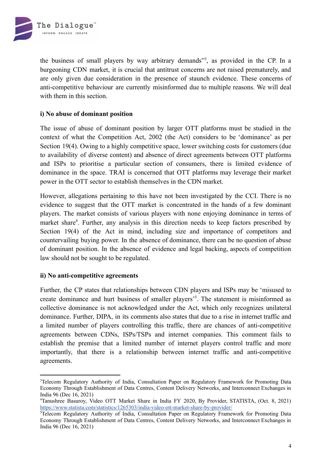

the business of small players by way arbitrary demands"<sup>3</sup> , as provided in the CP. In a burgeoning CDN market, it is crucial that antitrust concerns are not raised prematurely, and are only given due consideration in the presence of staunch evidence. These concerns of anti-competitive behaviour are currently misinformed due to multiple reasons. We will deal with them in this section.

## <span id="page-4-0"></span>**i) No abuse of dominant position**

The issue of abuse of dominant position by larger OTT platforms must be studied in the context of what the Competition Act, 2002 (the Act) considers to be 'dominance' as per Section 19(4). Owing to a highly competitive space, lower switching costs for customers (due to availability of diverse content) and absence of direct agreements between OTT platforms and ISPs to prioritise a particular section of consumers, there is limited evidence of dominance in the space. TRAI is concerned that OTT platforms may leverage their market power in the OTT sector to establish themselves in the CDN market.

However, allegations pertaining to this have not been investigated by the CCI. There is no evidence to suggest that the OTT market is concentrated in the hands of a few dominant players. The market consists of various players with none enjoying dominance in terms of market share<sup>4</sup>. Further, any analysis in this direction needs to keep factors prescribed by Section 19(4) of the Act in mind, including size and importance of competitors and countervailing buying power. In the absence of dominance, there can be no question of abuse of dominant position. In the absence of evidence and legal backing, aspects of competition law should not be sought to be regulated.

#### <span id="page-4-1"></span>**ii) No anti-competitive agreements**

Further, the CP states that relationships between CDN players and ISPs may be 'misused to create dominance and hurt business of smaller players<sup>35</sup>. The statement is misinformed as collective dominance is not acknowledged under the Act, which only recognizes unilateral dominance. Further, DIPA, in its comments also states that due to a rise in internet traffic and a limited number of players controlling this traffic, there are chances of anti-competitive agreements between CDNs, ISPs/TSPs and internet companies. This comment fails to establish the premise that a limited number of internet players control traffic and more importantly, that there is a relationship between internet traffic and anti-competitive agreements.

<sup>&</sup>lt;sup>3</sup>Telecom Regulatory Authority of India, Consultation Paper on Regulatory Framework for Promoting Data Economy Through Establishment of Data Centres, Content Delivery Networks, and Interconnect Exchanges in India 96 (Dec 16, 2021)

<sup>4</sup>Tanushree Basuroy, Video OTT Market Share in India FY 2020, By Provider, STATISTA, (Oct. 8, 2021) <https://www.statista.com/statistics/1265303/india-video-ott-market-share-by-provider/>

<sup>5</sup>Telecom Regulatory Authority of India, Consultation Paper on Regulatory Framework for Promoting Data Economy Through Establishment of Data Centres, Content Delivery Networks, and Interconnect Exchanges in India 96 (Dec 16, 2021)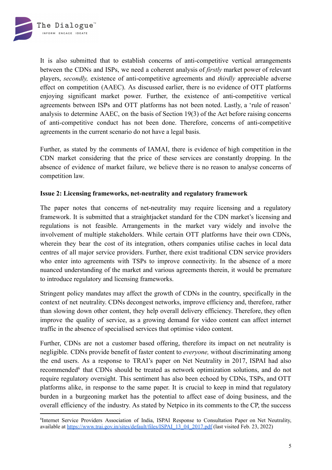

It is also submitted that to establish concerns of anti-competitive vertical arrangements between the CDNs and ISPs, we need a coherent analysis of *firstly* market power of relevant players, *secondly,* existence of anti-competitive agreements and *thirdly* appreciable adverse effect on competition (AAEC). As discussed earlier, there is no evidence of OTT platforms enjoying significant market power. Further, the existence of anti-competitive vertical agreements between ISPs and OTT platforms has not been noted. Lastly, a 'rule of reason' analysis to determine AAEC, on the basis of Section 19(3) of the Act before raising concerns of anti-competitive conduct has not been done. Therefore, concerns of anti-competitive agreements in the current scenario do not have a legal basis.

Further, as stated by the comments of IAMAI, there is evidence of high competition in the CDN market considering that the price of these services are constantly dropping. In the absence of evidence of market failure, we believe there is no reason to analyse concerns of competition law.

#### <span id="page-5-0"></span>**Issue 2: Licensing frameworks, net-neutrality and regulatory framework**

The paper notes that concerns of net-neutrality may require licensing and a regulatory framework. It is submitted that a straightjacket standard for the CDN market's licensing and regulations is not feasible. Arrangements in the market vary widely and involve the involvement of multiple stakeholders. While certain OTT platforms have their own CDNs, wherein they bear the cost of its integration, others companies utilise caches in local data centres of all major service providers. Further, there exist traditional CDN service providers who enter into agreements with TSPs to improve connectivity. In the absence of a more nuanced understanding of the market and various agreements therein, it would be premature to introduce regulatory and licensing frameworks.

Stringent policy mandates may affect the growth of CDNs in the country, specifically in the context of net neutrality. CDNs decongest networks, improve efficiency and, therefore, rather than slowing down other content, they help overall delivery efficiency. Therefore, they often improve the quality of service, as a growing demand for video content can affect internet traffic in the absence of specialised services that optimise video content.

Further, CDNs are not a customer based offering, therefore its impact on net neutrality is negligible. CDNs provide benefit of faster content to *everyone,* without discriminating among the end users. As a response to TRAI's paper on Net Neutrality in 2017, ISPAI had also recommended<sup>6</sup> that CDNs should be treated as network optimization solutions, and do not require regulatory oversight. This sentiment has also been echoed by CDNs, TSPs, and OTT platforms alike, in response to the same paper. It is crucial to keep in mind that regulatory burden in a burgeoning market has the potential to affect ease of doing business, and the overall efficiency of the industry. As stated by Netpico in its comments to the CP, the success

<sup>6</sup> Internet Service Providers Association of India, ISPAI Response to Consultation Paper on Net Neutrality, available at [https://www.trai.gov.in/sites/default/files/ISPAI\\_13\\_04\\_2017.pdf](https://www.trai.gov.in/sites/default/files/ISPAI_13_04_2017.pdf) (last visited Feb. 23, 2022)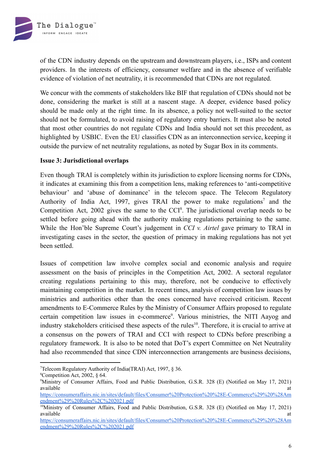

of the CDN industry depends on the upstream and downstream players, i.e., ISPs and content providers. In the interests of efficiency, consumer welfare and in the absence of verifiable evidence of violation of net neutrality, it is recommended that CDNs are not regulated.

We concur with the comments of stakeholders like BIF that regulation of CDNs should not be done, considering the market is still at a nascent stage. A deeper, evidence based policy should be made only at the right time. In its absence, a policy not well-suited to the sector should not be formulated, to avoid raising of regulatory entry barriers. It must also be noted that most other countries do not regulate CDNs and India should not set this precedent, as highlighted by USBIC. Even the EU classifies CDN as an interconnection service, keeping it outside the purview of net neutrality regulations, as noted by Sugar Box in its comments.

#### <span id="page-6-0"></span>**Issue 3: Jurisdictional overlaps**

Even though TRAI is completely within its jurisdiction to explore licensing norms for CDNs, it indicates at examining this from a competition lens, making references to 'anti-competitive behaviour' and 'abuse of dominance' in the telecom space. The Telecom Regulatory Authority of India Act, 1997, gives TRAI the power to make regulations<sup>7</sup> and the Competition Act, 2002 gives the same to the CCI<sup>8</sup>. The jurisdictional overlap needs to be settled before going ahead with the authority making regulations pertaining to the same. While the Hon'ble Supreme Court's judgement in *CCI v. Airtel* gave primary to TRAI in investigating cases in the sector, the question of primacy in making regulations has not yet been settled.

Issues of competition law involve complex social and economic analysis and require assessment on the basis of principles in the Competition Act, 2002. A sectoral regulator creating regulations pertaining to this may, therefore, not be conducive to effectively maintaining competition in the market. In recent times, analysis of competition law issues by ministries and authorities other than the ones concerned have received criticism. Recent amendments to E-Commerce Rules by the Ministry of Consumer Affairs proposed to regulate certain competition law issues in e-commerce<sup>9</sup>. Various ministries, the NITI Aayog and industry stakeholders criticised these aspects of the rules<sup>10</sup>. Therefore, it is crucial to arrive at a consensus on the powers of TRAI and CCI with respect to CDNs before prescribing a regulatory framework. It is also to be noted that DoT's expert Committee on Net Neutrality had also recommended that since CDN interconnection arrangements are business decisions,

<sup>7</sup>Telecom Regulatory Authority of India(TRAI) Act, 1997, § 36.

<sup>8</sup>Competition Act, 2002, § 64.

<sup>9</sup>Ministry of Consumer Affairs, Food and Public Distribution, G.S.R. 328 (E) (Notified on May 17, 2021) available at the contract of the contract of the contract of the contract of the contract of the contract of the contract of the contract of the contract of the contract of the contract of the contract of the contract of t

[https://consumeraffairs.nic.in/sites/default/files/Consumer%20Protection%20%28E-Commerce%29%20%28Am](https://consumeraffairs.nic.in/sites/default/files/Consumer%20Protection%20%28E-Commerce%29%20%28Amendment%29%20Rules%2C%202021.pdf) [endment%29%20Rules%2C%202021.pdf](https://consumeraffairs.nic.in/sites/default/files/Consumer%20Protection%20%28E-Commerce%29%20%28Amendment%29%20Rules%2C%202021.pdf)

<sup>10</sup>Ministry of Consumer Affairs, Food and Public Distribution, G.S.R. 328 (E) (Notified on May 17, 2021) available at the contract of the contract of the contract of the contract of the contract of the contract of the contract of the contract of the contract of the contract of the contract of the contract of the contract of t

[https://consumeraffairs.nic.in/sites/default/files/Consumer%20Protection%20%28E-Commerce%29%20%28Am](https://consumeraffairs.nic.in/sites/default/files/Consumer%20Protection%20%28E-Commerce%29%20%28Amendment%29%20Rules%2C%202021.pdf) [endment%29%20Rules%2C%202021.pdf](https://consumeraffairs.nic.in/sites/default/files/Consumer%20Protection%20%28E-Commerce%29%20%28Amendment%29%20Rules%2C%202021.pdf)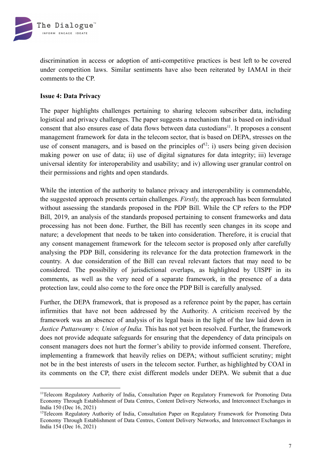

discrimination in access or adoption of anti-competitive practices is best left to be covered under competition laws. Similar sentiments have also been reiterated by IAMAI in their comments to the CP.

## <span id="page-7-0"></span>**Issue 4: Data Privacy**

The paper highlights challenges pertaining to sharing telecom subscriber data, including logistical and privacy challenges. The paper suggests a mechanism that is based on individual consent that also ensures ease of data flows between data custodians<sup>11</sup>. It proposes a consent management framework for data in the telecom sector, that is based on DEPA, stresses on the use of consent managers, and is based on the principles of<sup>12</sup>: i) users being given decision making power on use of data; ii) use of digital signatures for data integrity; iii) leverage universal identity for interoperability and usability; and iv) allowing user granular control on their permissions and rights and open standards.

While the intention of the authority to balance privacy and interoperability is commendable, the suggested approach presents certain challenges. *Firstly,* the approach has been formulated without assessing the standards proposed in the PDP Bill. While the CP refers to the PDP Bill, 2019, an analysis of the standards proposed pertaining to consent frameworks and data processing has not been done. Further, the Bill has recently seen changes in its scope and nature; a development that needs to be taken into consideration. Therefore, it is crucial that any consent management framework for the telecom sector is proposed only after carefully analysing the PDP Bill, considering its relevance for the data protection framework in the country. A due consideration of the Bill can reveal relevant factors that may need to be considered. The possibility of jurisdictional overlaps, as highlighted by UISPF in its comments, as well as the very need of a separate framework, in the presence of a data protection law, could also come to the fore once the PDP Bill is carefully analysed.

Further, the DEPA framework, that is proposed as a reference point by the paper, has certain infirmities that have not been addressed by the Authority. A criticism received by the framework was an absence of analysis of its legal basis in the light of the law laid down in *Justice Puttaswamy v. Union of India.* This has not yet been resolved. Further, the framework does not provide adequate safeguards for ensuring that the dependency of data principals on consent managers does not hurt the former's ability to provide informed consent. Therefore, implementing a framework that heavily relies on DEPA; without sufficient scrutiny; might not be in the best interests of users in the telecom sector. Further, as highlighted by COAI in its comments on the CP, there exist different models under DEPA. We submit that a due

<sup>11</sup>Telecom Regulatory Authority of India, Consultation Paper on Regulatory Framework for Promoting Data Economy Through Establishment of Data Centres, Content Delivery Networks, and Interconnect Exchanges in India 150 (Dec 16, 2021)

<sup>&</sup>lt;sup>12</sup>Telecom Regulatory Authority of India, Consultation Paper on Regulatory Framework for Promoting Data Economy Through Establishment of Data Centres, Content Delivery Networks, and Interconnect Exchanges in India 154 (Dec 16, 2021)